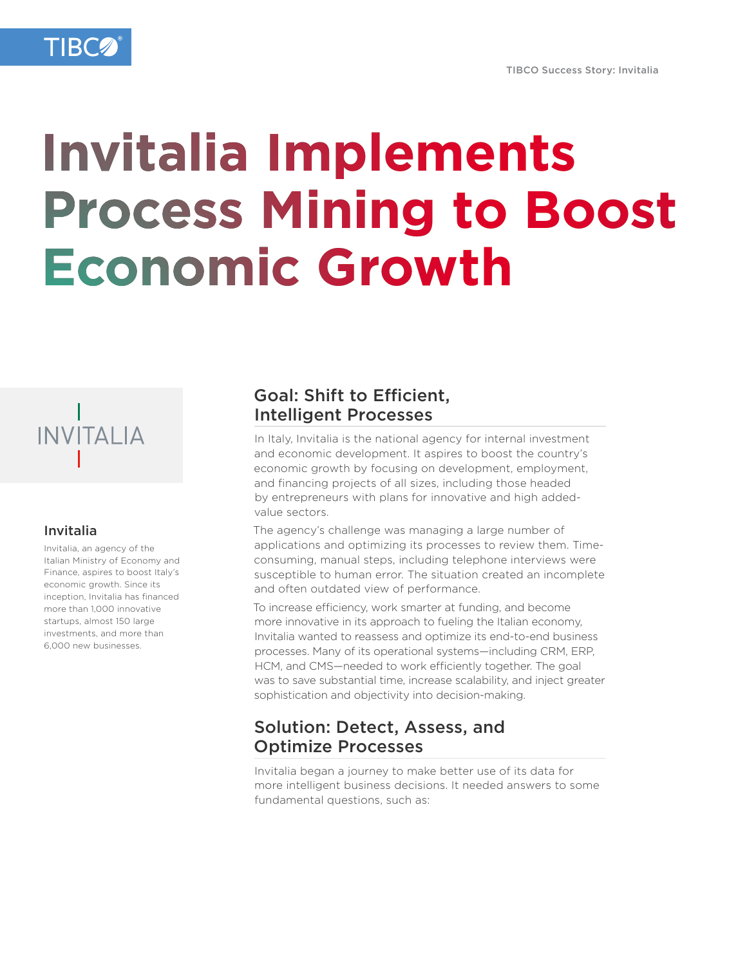# **Invitalia Implements Process Mining to Boost Economic Growth**



#### Invitalia

Invitalia, an agency of the Italian Ministry of Economy and Finance, aspires to boost Italy's economic growth. Since its inception, Invitalia has financed more than 1,000 innovative startups, almost 150 large investments, and more than 6,000 new businesses.

## Goal: Shift to Efficient, Intelligent Processes

In Italy, Invitalia is the national agency for internal investment and economic development. It aspires to boost the country's economic growth by focusing on development, employment, and financing projects of all sizes, including those headed by entrepreneurs with plans for innovative and high addedvalue sectors.

The agency's challenge was managing a large number of applications and optimizing its processes to review them. Timeconsuming, manual steps, including telephone interviews were susceptible to human error. The situation created an incomplete and often outdated view of performance.

To increase efficiency, work smarter at funding, and become more innovative in its approach to fueling the Italian economy, Invitalia wanted to reassess and optimize its end-to-end business processes. Many of its operational systems—including CRM, ERP, HCM, and CMS—needed to work efficiently together. The goal was to save substantial time, increase scalability, and inject greater sophistication and objectivity into decision-making.

## Solution: Detect, Assess, and Optimize Processes

Invitalia began a journey to make better use of its data for more intelligent business decisions. It needed answers to some fundamental questions, such as: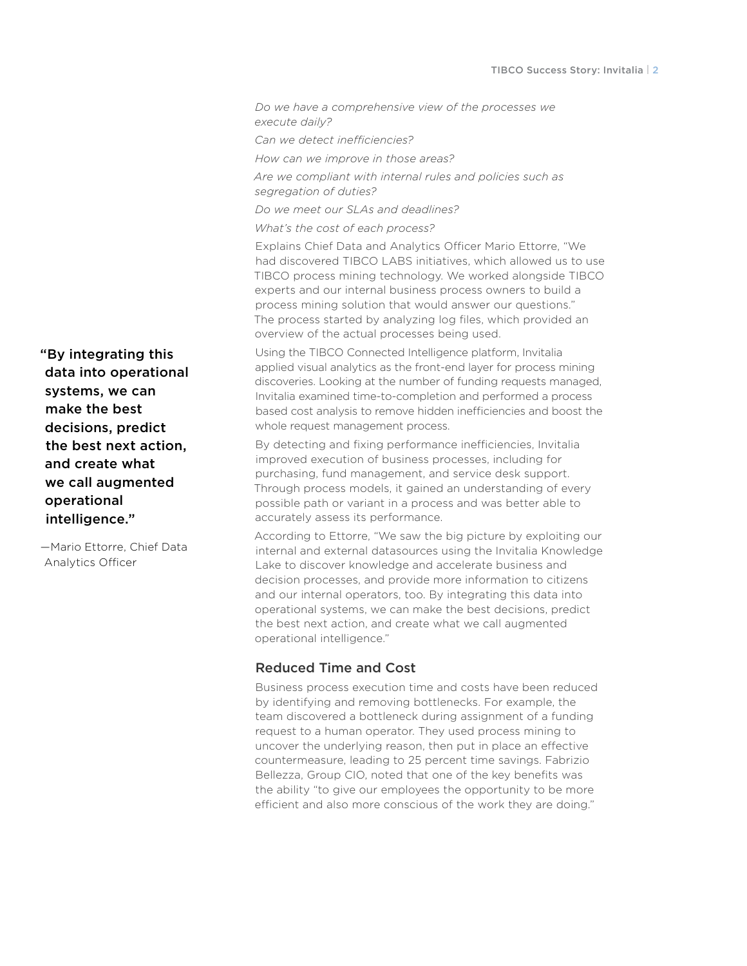*Do we have a comprehensive view of the processes we execute daily?* 

*Can we detect inefficiencies?* 

*How can we improve in those areas?* 

*Are we compliant with internal rules and policies such as segregation of duties?* 

*Do we meet our SLAs and deadlines?* 

*What's the cost of each process?*

Explains Chief Data and Analytics Officer Mario Ettorre, "We had discovered TIBCO LABS initiatives, which allowed us to use TIBCO process mining technology. We worked alongside TIBCO experts and our internal business process owners to build a process mining solution that would answer our questions." The process started by analyzing log files, which provided an overview of the actual processes being used.

Using the TIBCO Connected Intelligence platform, Invitalia applied visual analytics as the front-end layer for process mining discoveries. Looking at the number of funding requests managed, Invitalia examined time-to-completion and performed a process based cost analysis to remove hidden inefficiencies and boost the whole request management process.

By detecting and fixing performance inefficiencies, Invitalia improved execution of business processes, including for purchasing, fund management, and service desk support. Through process models, it gained an understanding of every possible path or variant in a process and was better able to accurately assess its performance.

According to Ettorre, "We saw the big picture by exploiting our internal and external datasources using the Invitalia Knowledge Lake to discover knowledge and accelerate business and decision processes, and provide more information to citizens and our internal operators, too. By integrating this data into operational systems, we can make the best decisions, predict the best next action, and create what we call augmented operational intelligence."

#### Reduced Time and Cost

Business process execution time and costs have been reduced by identifying and removing bottlenecks. For example, the team discovered a bottleneck during assignment of a funding request to a human operator. They used process mining to uncover the underlying reason, then put in place an effective countermeasure, leading to 25 percent time savings. Fabrizio Bellezza, Group CIO, noted that one of the key benefits was the ability "to give our employees the opportunity to be more efficient and also more conscious of the work they are doing."

"By integrating this data into operational systems, we can make the best decisions, predict the best next action, and create what we call augmented operational intelligence."

—Mario Ettorre, Chief Data Analytics Officer